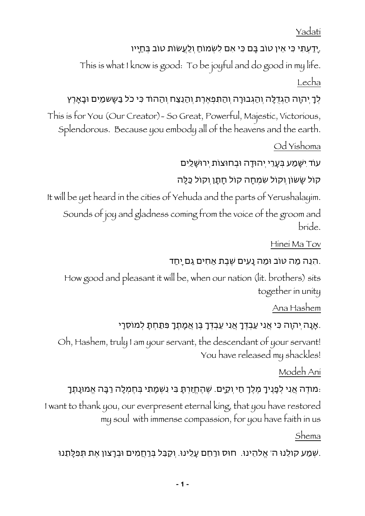Yadati

### .יָדַעְתִּי כִּי אֵין טוב בָּם כִּי אִם לִשְׂמוחַ וְלַעֲשות טוב בְּחַיָּיו

 This is what I know is good: To be joyful and do good in my life. Lecha

# לְךָ יְהוָה הַגְּדֻלָּה וְהַגְּבורָה וְהַתִּפְאֶרֶת וְהַנֵּצַח וְהַהוד כִּי כֹל בַּשָשמַיִם ובָאָרֶץ

This is for You (Our Creator)- So Great, Powerful, Majestic, Victorious, Splendorous. Because you embody all of the heavens and the earth.

Od Yishoma

עוד יִשָמַע בְעָרֵי יְהודָה ובְחוצות יְרושָלַיִם

קול שָשון וְקול שִמְחָה קול חָתָן וְקול כַלָה

It will be yet heard in the cities of Yehuda and the parts of Yerushalayim.

Sounds of joy and gladness coming from the voice of the groom and bride.

Hinei Ma Tov

## .הִנֵּה מַה טוב ומַה נָּעִים שֶׁבֶת אַחִים גַּם יָחַד

How good and pleasant it will be, when our nation (lit. brothers) sits together in unity

Ana Hashem

## .אָנָּה יְהוָה כִּי אֲנִי עַבְדֶּךָ אֲנִי עַבְדְּךָ בֶּן אֲמָתֶךָ פִּתַּחְתָּ לְמוסֵרָי

Oh, Hashem, truly I am your servant, the descendant of your servant! You have released my shackles!

Modeh Ani

## :מודֶה אֲנִי לְפָנֶיךָ מֶלֶךְ חַי וְקַיָם. שֶהֶחֱזַרְתָ בִי נִשְמָתִי בְחֶמְלָה רַבָה אֱמונָתֶךָ

I want to thank you, our everpresent eternal king, that you have restored my soul with immense compassion, for you have faith in us

#### Shema

.שְמַע קולֵנו ה' אֱלהֵינו. חוס ורַחֵם עָלֵינו. וְקַבֵל בְרַחֲמִים ובְרָצון אֶת תְפִלָתֵנו